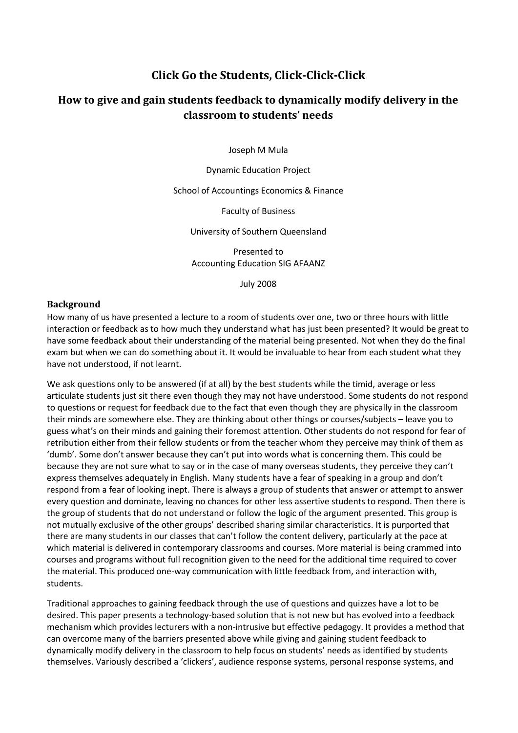# **Click Go the Students, Click-Click-Click**

# **How to give and gain students feedback to dynamically modify delivery in the classroom to students' needs**

Joseph M Mula

Dynamic Education Project

School of Accountings Economics & Finance

Faculty of Business

University of Southern Queensland

Presented to Accounting Education SIG AFAANZ

July 2008

#### **Background**

How many of us have presented a lecture to a room of students over one, two or three hours with little interaction or feedback as to how much they understand what has just been presented? It would be great to have some feedback about their understanding of the material being presented. Not when they do the final exam but when we can do something about it. It would be invaluable to hear from each student what they have not understood, if not learnt.

We ask questions only to be answered (if at all) by the best students while the timid, average or less articulate students just sit there even though they may not have understood. Some students do not respond to questions or request for feedback due to the fact that even though they are physically in the classroom their minds are somewhere else. They are thinking about other things or courses/subjects – leave you to guess what's on their minds and gaining their foremost attention. Other students do not respond for fear of retribution either from their fellow students or from the teacher whom they perceive may think of them as 'dumb'. Some don't answer because they can't put into words what is concerning them. This could be because they are not sure what to say or in the case of many overseas students, they perceive they can't express themselves adequately in English. Many students have a fear of speaking in a group and don't respond from a fear of looking inept. There is always a group of students that answer or attempt to answer every question and dominate, leaving no chances for other less assertive students to respond. Then there is the group of students that do not understand or follow the logic of the argument presented. This group is not mutually exclusive of the other groups' described sharing similar characteristics. It is purported that there are many students in our classes that can't follow the content delivery, particularly at the pace at which material is delivered in contemporary classrooms and courses. More material is being crammed into courses and programs without full recognition given to the need for the additional time required to cover the material. This produced one-way communication with little feedback from, and interaction with, students.

Traditional approaches to gaining feedback through the use of questions and quizzes have a lot to be desired. This paper presents a technology-based solution that is not new but has evolved into a feedback mechanism which provides lecturers with a non-intrusive but effective pedagogy. It provides a method that can overcome many of the barriers presented above while giving and gaining student feedback to dynamically modify delivery in the classroom to help focus on students' needs as identified by students themselves. Variously described a 'clickers', audience response systems, personal response systems, and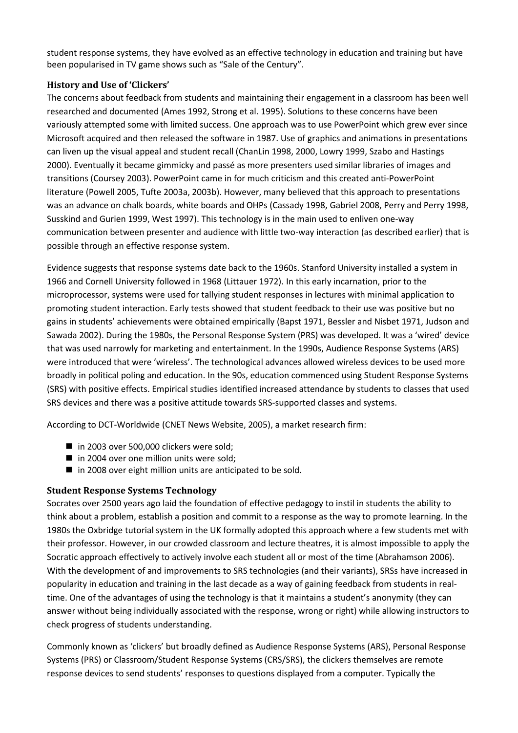student response systems, they have evolved as an effective technology in education and training but have been popularised in TV game shows such as "Sale of the Century".

# **History and Use of 'Clickers'**

The concerns about feedback from students and maintaining their engagement in a classroom has been well researched and documented (Ames 1992, Strong et al. 1995). Solutions to these concerns have been variously attempted some with limited success. One approach was to use PowerPoint which grew ever since Microsoft acquired and then released the software in 1987. Use of graphics and animations in presentations can liven up the visual appeal and student recall (ChanLin 1998, 2000, Lowry 1999, Szabo and Hastings 2000). Eventually it became gimmicky and passé as more presenters used similar libraries of images and transitions (Coursey 2003). PowerPoint came in for much criticism and this created anti-PowerPoint literature (Powell 2005, Tufte 2003a, 2003b). However, many believed that this approach to presentations was an advance on chalk boards, white boards and OHPs (Cassady 1998, Gabriel 2008, Perry and Perry 1998, Susskind and Gurien 1999, West 1997). This technology is in the main used to enliven one-way communication between presenter and audience with little two-way interaction (as described earlier) that is possible through an effective response system.

Evidence suggests that response systems date back to the 1960s. Stanford University installed a system in 1966 and Cornell University followed in 1968 (Littauer 1972). In this early incarnation, prior to the microprocessor, systems were used for tallying student responses in lectures with minimal application to promoting student interaction. Early tests showed that student feedback to their use was positive but no gains in students' achievements were obtained empirically (Bapst 1971, Bessler and Nisbet 1971, Judson and Sawada 2002). During the 1980s, the Personal Response System (PRS) was developed. It was a 'wired' device that was used narrowly for marketing and entertainment. In the 1990s, Audience Response Systems (ARS) were introduced that were 'wireless'. The technological advances allowed wireless devices to be used more broadly in political poling and education. In the 90s, education commenced using Student Response Systems (SRS) with positive effects. Empirical studies identified increased attendance by students to classes that used SRS devices and there was a positive attitude towards SRS-supported classes and systems.

According to DCT-Worldwide (CNET News Website, 2005), a market research firm:

- in 2003 over 500,000 clickers were sold;
- $\blacksquare$  in 2004 over one million units were sold;
- $\blacksquare$  in 2008 over eight million units are anticipated to be sold.

# **Student Response Systems Technology**

Socrates over 2500 years ago laid the foundation of effective pedagogy to instil in students the ability to think about a problem, establish a position and commit to a response as the way to promote learning. In the 1980s the Oxbridge tutorial system in the UK formally adopted this approach where a few students met with their professor. However, in our crowded classroom and lecture theatres, it is almost impossible to apply the Socratic approach effectively to actively involve each student all or most of the time (Abrahamson 2006). With the development of and improvements to SRS technologies (and their variants), SRSs have increased in popularity in education and training in the last decade as a way of gaining feedback from students in realtime. One of the advantages of using the technology is that it maintains a student's anonymity (they can answer without being individually associated with the response, wrong or right) while allowing instructors to check progress of students understanding.

Commonly known as 'clickers' but broadly defined as Audience Response Systems (ARS), Personal Response Systems (PRS) or Classroom/Student Response Systems (CRS/SRS), the clickers themselves are remote response devices to send students' responses to questions displayed from a computer. Typically the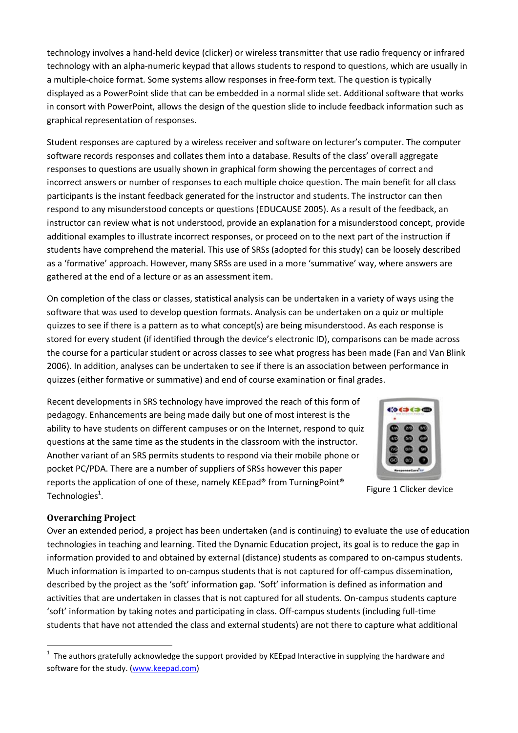technology involves a hand-held device (clicker) or wireless transmitter that use radio frequency or infrared technology with an alpha-numeric keypad that allows students to respond to questions, which are usually in a multiple-choice format. Some systems allow responses in free-form text. The question is typically displayed as a PowerPoint slide that can be embedded in a normal slide set. Additional software that works in consort with PowerPoint, allows the design of the question slide to include feedback information such as graphical representation of responses.

Student responses are captured by a wireless receiver and software on lecturer's computer. The computer software records responses and collates them into a database. Results of the class' overall aggregate responses to questions are usually shown in graphical form showing the percentages of correct and incorrect answers or number of responses to each multiple choice question. The main benefit for all class participants is the instant feedback generated for the instructor and students. The instructor can then respond to any misunderstood concepts or questions (EDUCAUSE 2005). As a result of the feedback, an instructor can review what is not understood, provide an explanation for a misunderstood concept, provide additional examples to illustrate incorrect responses, or proceed on to the next part of the instruction if students have comprehend the material. This use of SRSs (adopted for this study) can be loosely described as a 'formative' approach. However, many SRSs are used in a more 'summative' way, where answers are gathered at the end of a lecture or as an assessment item.

On completion of the class or classes, statistical analysis can be undertaken in a variety of ways using the software that was used to develop question formats. Analysis can be undertaken on a quiz or multiple quizzes to see if there is a pattern as to what concept(s) are being misunderstood. As each response is stored for every student (if identified through the device's electronic ID), comparisons can be made across the course for a particular student or across classes to see what progress has been made (Fan and Van Blink 2006). In addition, analyses can be undertaken to see if there is an association between performance in quizzes (either formative or summative) and end of course examination or final grades.

Recent developments in SRS technology have improved the reach of this form of pedagogy. Enhancements are being made daily but one of most interest is the ability to have students on different campuses or on the Internet, respond to quiz questions at the same time as the students in the classroom with the instructor. Another variant of an SRS permits students to respond via their mobile phone or pocket PC/PDA. There are a number of suppliers of SRSs however this paper reports the application of one of these, namely KEEpad**®** from TurningPoint® Technologies**<sup>1</sup>** .



Figure 1 Clicker device

# **Overarching Project**

 $\overline{a}$ 

Over an extended period, a project has been undertaken (and is continuing) to evaluate the use of education technologies in teaching and learning. Tited the Dynamic Education project, its goal is to reduce the gap in information provided to and obtained by external (distance) students as compared to on-campus students. Much information is imparted to on-campus students that is not captured for off-campus dissemination, described by the project as the 'soft' information gap. 'Soft' information is defined as information and activities that are undertaken in classes that is not captured for all students. On-campus students capture 'soft' information by taking notes and participating in class. Off-campus students (including full-time students that have not attended the class and external students) are not there to capture what additional

 $1$  The authors gratefully acknowledge the support provided by KEEpad Interactive in supplying the hardware and software for the study. [\(www.keepad.com\)](http://www.keepad.com/)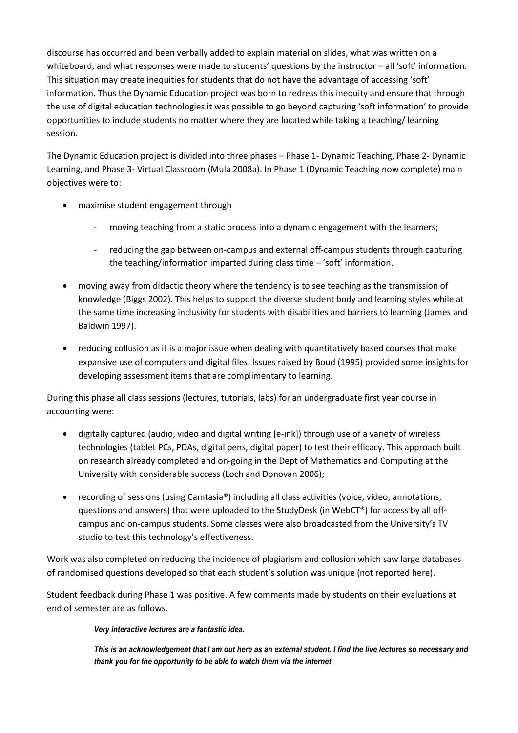discourse has occurred and been verbally added to explain material on slides, what was written on a whiteboard, and what responses were made to students' questions by the instructor – all 'soft' information. This situation may create inequities for students that do not have the advantage of accessing 'soft' information. Thus the Dynamic Education project was born to redress this inequity and ensure that through the use of digital education technologies it was possible to go beyond capturing 'soft information' to provide opportunities to include students no matter where they are located while taking a teaching/ learning session.

The Dynamic Education project is divided into three phases – Phase 1- Dynamic Teaching, Phase 2- Dynamic Learning, and Phase 3- Virtual Classroom (Mula 2008a). In Phase 1 (Dynamic Teaching now complete) main objectives were to:

- maximise student engagement through
	- moving teaching from a static process into a dynamic engagement with the learners;
	- reducing the gap between on-campus and external off-campus students through capturing the teaching/information imparted during class time – 'soft' information.
- moving away from didactic theory where the tendency is to see teaching as the transmission of knowledge (Biggs 2002). This helps to support the diverse student body and learning styles while at the same time increasing inclusivity for students with disabilities and barriers to learning (James and Baldwin 1997).
- reducing collusion as it is a major issue when dealing with quantitatively based courses that make expansive use of computers and digital files. Issues raised by Boud (1995) provided some insights for developing assessment items that are complimentary to learning.

During this phase all class sessions (lectures, tutorials, labs) for an undergraduate first year course in accounting were:

- digitally captured (audio, video and digital writing [e-ink]) through use of a variety of wireless technologies (tablet PCs, PDAs, digital pens, digital paper) to test their efficacy. This approach built on research already completed and on-going in the Dept of Mathematics and Computing at the University with considerable success (Loch and Donovan 2006);
- recording of sessions (using Camtasia®) including all class activities (voice, video, annotations, questions and answers) that were uploaded to the StudyDesk (in WebCT®) for access by all offcampus and on-campus students. Some classes were also broadcasted from the University's TV studio to test this technology's effectiveness.

Work was also completed on reducing the incidence of plagiarism and collusion which saw large databases of randomised questions developed so that each student's solution was unique (not reported here).

Student feedback during Phase 1 was positive. A few comments made by students on their evaluations at end of semester are as follows.

# *Very interactive lectures are a fantastic idea.*

*This is an acknowledgement that I am out here as an external student. I find the live lectures so necessary and thank you for the opportunity to be able to watch them via the internet.*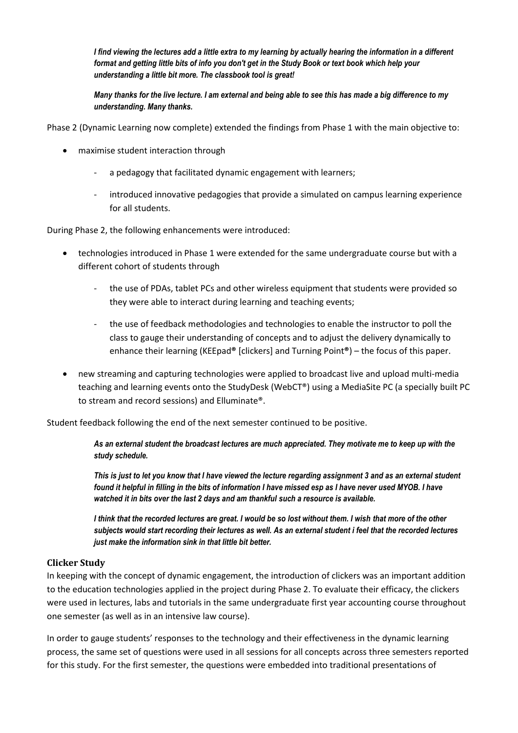*I find viewing the lectures add a little extra to my learning by actually hearing the information in a different format and getting little bits of info you don't get in the Study Book or text book which help your understanding a little bit more. The classbook tool is great!*

*Many thanks for the live lecture. I am external and being able to see this has made a big difference to my understanding. Many thanks.*

Phase 2 (Dynamic Learning now complete) extended the findings from Phase 1 with the main objective to:

- maximise student interaction through
	- a pedagogy that facilitated dynamic engagement with learners;
	- introduced innovative pedagogies that provide a simulated on campus learning experience for all students.

During Phase 2, the following enhancements were introduced:

- technologies introduced in Phase 1 were extended for the same undergraduate course but with a different cohort of students through
	- the use of PDAs, tablet PCs and other wireless equipment that students were provided so they were able to interact during learning and teaching events;
	- the use of feedback methodologies and technologies to enable the instructor to poll the class to gauge their understanding of concepts and to adjust the delivery dynamically to enhance their learning (KEEpad**®** [clickers] and Turning Point**®**) – the focus of this paper.
- new streaming and capturing technologies were applied to broadcast live and upload multi-media teaching and learning events onto the StudyDesk (WebCT®) using a MediaSite PC (a specially built PC to stream and record sessions) and Elluminate®.

Student feedback following the end of the next semester continued to be positive.

*As an external student the broadcast lectures are much appreciated. They motivate me to keep up with the study schedule.* 

*This is just to let you know that I have viewed the lecture regarding assignment 3 and as an external student found it helpful in filling in the bits of information I have missed esp as I have never used MYOB. I have watched it in bits over the last 2 days and am thankful such a resource is available.*

*I think that the recorded lectures are great. I would be so lost without them. I wish that more of the other subjects would start recording their lectures as well. As an external student i feel that the recorded lectures just make the information sink in that little bit better.*

# **Clicker Study**

In keeping with the concept of dynamic engagement, the introduction of clickers was an important addition to the education technologies applied in the project during Phase 2. To evaluate their efficacy, the clickers were used in lectures, labs and tutorials in the same undergraduate first year accounting course throughout one semester (as well as in an intensive law course).

In order to gauge students' responses to the technology and their effectiveness in the dynamic learning process, the same set of questions were used in all sessions for all concepts across three semesters reported for this study. For the first semester, the questions were embedded into traditional presentations of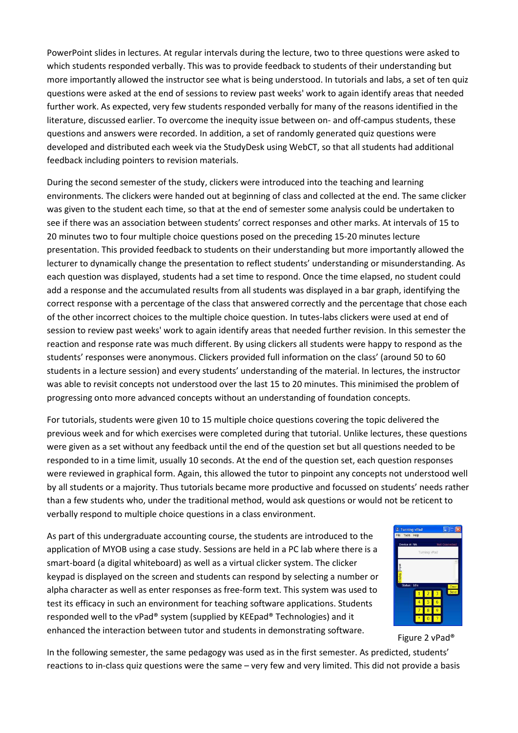PowerPoint slides in lectures. At regular intervals during the lecture, two to three questions were asked to which students responded verbally. This was to provide feedback to students of their understanding but more importantly allowed the instructor see what is being understood. In tutorials and labs, a set of ten quiz questions were asked at the end of sessions to review past weeks' work to again identify areas that needed further work. As expected, very few students responded verbally for many of the reasons identified in the literature, discussed earlier. To overcome the inequity issue between on- and off-campus students, these questions and answers were recorded. In addition, a set of randomly generated quiz questions were developed and distributed each week via the StudyDesk using WebCT, so that all students had additional feedback including pointers to revision materials.

During the second semester of the study, clickers were introduced into the teaching and learning environments. The clickers were handed out at beginning of class and collected at the end. The same clicker was given to the student each time, so that at the end of semester some analysis could be undertaken to see if there was an association between students' correct responses and other marks. At intervals of 15 to 20 minutes two to four multiple choice questions posed on the preceding 15-20 minutes lecture presentation. This provided feedback to students on their understanding but more importantly allowed the lecturer to dynamically change the presentation to reflect students' understanding or misunderstanding. As each question was displayed, students had a set time to respond. Once the time elapsed, no student could add a response and the accumulated results from all students was displayed in a bar graph, identifying the correct response with a percentage of the class that answered correctly and the percentage that chose each of the other incorrect choices to the multiple choice question. In tutes-labs clickers were used at end of session to review past weeks' work to again identify areas that needed further revision. In this semester the reaction and response rate was much different. By using clickers all students were happy to respond as the students' responses were anonymous. Clickers provided full information on the class' (around 50 to 60 students in a lecture session) and every students' understanding of the material. In lectures, the instructor was able to revisit concepts not understood over the last 15 to 20 minutes. This minimised the problem of progressing onto more advanced concepts without an understanding of foundation concepts.

For tutorials, students were given 10 to 15 multiple choice questions covering the topic delivered the previous week and for which exercises were completed during that tutorial. Unlike lectures, these questions were given as a set without any feedback until the end of the question set but all questions needed to be responded to in a time limit, usually 10 seconds. At the end of the question set, each question responses were reviewed in graphical form. Again, this allowed the tutor to pinpoint any concepts not understood well by all students or a majority. Thus tutorials became more productive and focussed on students' needs rather than a few students who, under the traditional method, would ask questions or would not be reticent to verbally respond to multiple choice questions in a class environment.

As part of this undergraduate accounting course, the students are introduced to the application of MYOB using a case study. Sessions are held in a PC lab where there is a smart-board (a digital whiteboard) as well as a virtual clicker system. The clicker keypad is displayed on the screen and students can respond by selecting a number or alpha character as well as enter responses as free-form text. This system was used to test its efficacy in such an environment for teaching software applications. Students responded well to the vPad® system (supplied by KEEpad® Technologies) and it enhanced the interaction between tutor and students in demonstrating software.



Figure 2 vPad®

In the following semester, the same pedagogy was used as in the first semester. As predicted, students' reactions to in-class quiz questions were the same – very few and very limited. This did not provide a basis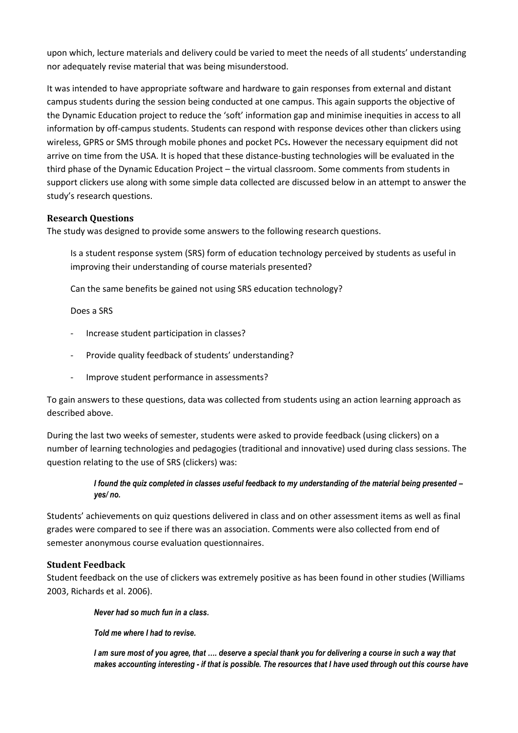upon which, lecture materials and delivery could be varied to meet the needs of all students' understanding nor adequately revise material that was being misunderstood.

It was intended to have appropriate software and hardware to gain responses from external and distant campus students during the session being conducted at one campus. This again supports the objective of the Dynamic Education project to reduce the 'soft' information gap and minimise inequities in access to all information by off-campus students. Students can respond with response devices other than clickers using wireless, GPRS or SMS through mobile phones and pocket PCs**.** However the necessary equipment did not arrive on time from the USA. It is hoped that these distance-busting technologies will be evaluated in the third phase of the Dynamic Education Project – the virtual classroom. Some comments from students in support clickers use along with some simple data collected are discussed below in an attempt to answer the study's research questions.

# **Research Questions**

The study was designed to provide some answers to the following research questions.

Is a student response system (SRS) form of education technology perceived by students as useful in improving their understanding of course materials presented?

Can the same benefits be gained not using SRS education technology?

Does a SRS

- Increase student participation in classes?
- Provide quality feedback of students' understanding?
- Improve student performance in assessments?

To gain answers to these questions, data was collected from students using an action learning approach as described above.

During the last two weeks of semester, students were asked to provide feedback (using clickers) on a number of learning technologies and pedagogies (traditional and innovative) used during class sessions. The question relating to the use of SRS (clickers) was:

# *I found the quiz completed in classes useful feedback to my understanding of the material being presented – yes/ no.*

Students' achievements on quiz questions delivered in class and on other assessment items as well as final grades were compared to see if there was an association. Comments were also collected from end of semester anonymous course evaluation questionnaires.

# **Student Feedback**

Student feedback on the use of clickers was extremely positive as has been found in other studies (Williams 2003, Richards et al. 2006).

*Never had so much fun in a class.*

*Told me where I had to revise.*

*I am sure most of you agree, that …. deserve a special thank you for delivering a course in such a way that makes accounting interesting - if that is possible. The resources that I have used through out this course have*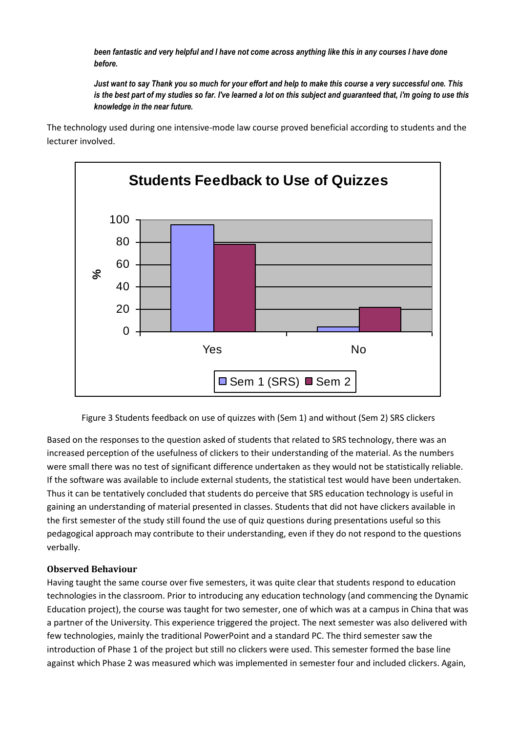*been fantastic and very helpful and I have not come across anything like this in any courses I have done before.*

*Just want to say Thank you so much for your effort and help to make this course a very successful one. This is the best part of my studies so far. I've learned a lot on this subject and guaranteed that, i'm going to use this knowledge in the near future.*

The technology used during one intensive-mode law course proved beneficial according to students and the lecturer involved.



Figure 3 Students feedback on use of quizzes with (Sem 1) and without (Sem 2) SRS clickers

Based on the responses to the question asked of students that related to SRS technology, there was an increased perception of the usefulness of clickers to their understanding of the material. As the numbers were small there was no test of significant difference undertaken as they would not be statistically reliable. If the software was available to include external students, the statistical test would have been undertaken. Thus it can be tentatively concluded that students do perceive that SRS education technology is useful in gaining an understanding of material presented in classes. Students that did not have clickers available in the first semester of the study still found the use of quiz questions during presentations useful so this pedagogical approach may contribute to their understanding, even if they do not respond to the questions verbally.

# **Observed Behaviour**

Having taught the same course over five semesters, it was quite clear that students respond to education technologies in the classroom. Prior to introducing any education technology (and commencing the Dynamic Education project), the course was taught for two semester, one of which was at a campus in China that was a partner of the University. This experience triggered the project. The next semester was also delivered with few technologies, mainly the traditional PowerPoint and a standard PC. The third semester saw the introduction of Phase 1 of the project but still no clickers were used. This semester formed the base line against which Phase 2 was measured which was implemented in semester four and included clickers. Again,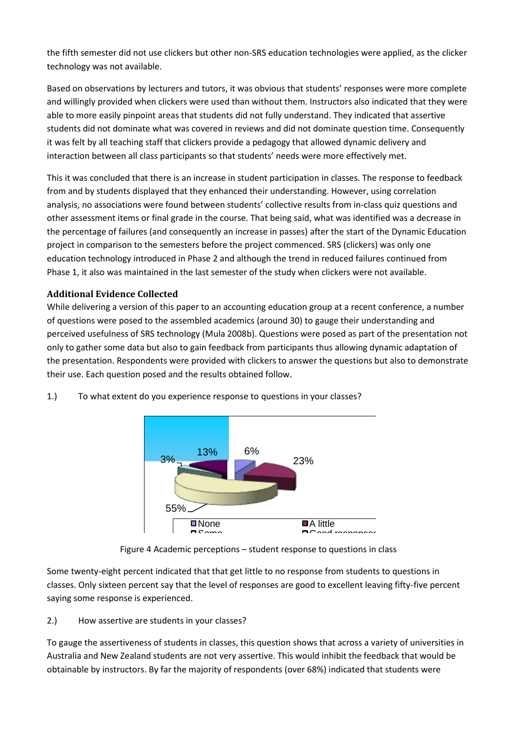the fifth semester did not use clickers but other non-SRS education technologies were applied, as the clicker technology was not available.

Based on observations by lecturers and tutors, it was obvious that students' responses were more complete and willingly provided when clickers were used than without them. Instructors also indicated that they were able to more easily pinpoint areas that students did not fully understand. They indicated that assertive students did not dominate what was covered in reviews and did not dominate question time. Consequently it was felt by all teaching staff that clickers provide a pedagogy that allowed dynamic delivery and interaction between all class participants so that students' needs were more effectively met.

This it was concluded that there is an increase in student participation in classes. The response to feedback from and by students displayed that they enhanced their understanding. However, using correlation analysis, no associations were found between students' collective results from in-class quiz questions and other assessment items or final grade in the course. That being said, what was identified was a decrease in the percentage of failures (and consequently an increase in passes) after the start of the Dynamic Education project in comparison to the semesters before the project commenced. SRS (clickers) was only one education technology introduced in Phase 2 and although the trend in reduced failures continued from Phase 1, it also was maintained in the last semester of the study when clickers were not available.

# **Additional Evidence Collected**

While delivering a version of this paper to an accounting education group at a recent conference, a number of questions were posed to the assembled academics (around 30) to gauge their understanding and perceived usefulness of SRS technology (Mula 2008b). Questions were posed as part of the presentation not only to gather some data but also to gain feedback from participants thus allowing dynamic adaptation of the presentation. Respondents were provided with clickers to answer the questions but also to demonstrate their use. Each question posed and the results obtained follow.





Figure 4 Academic perceptions – student response to questions in class

Some twenty-eight percent indicated that that get little to no response from students to questions in classes. Only sixteen percent say that the level of responses are good to excellent leaving fifty-five percent saying some response is experienced.

#### 2.) How assertive are students in your classes?

To gauge the assertiveness of students in classes, this question shows that across a variety of universities in Australia and New Zealand students are not very assertive. This would inhibit the feedback that would be obtainable by instructors. By far the majority of respondents (over 68%) indicated that students were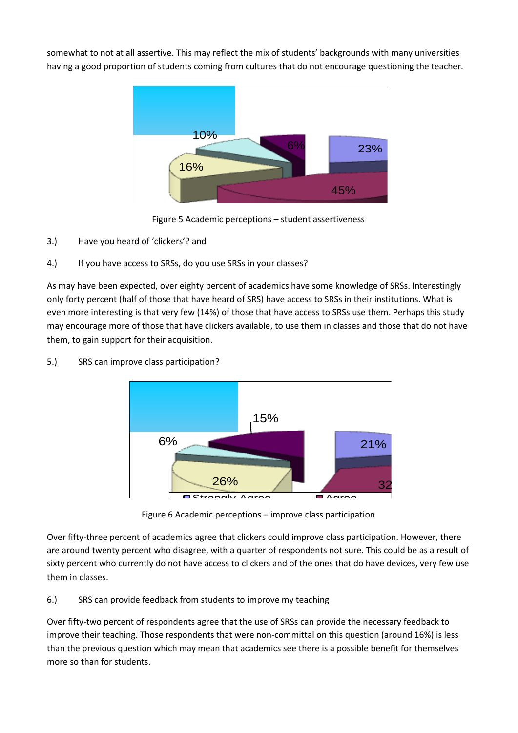somewhat to not at all assertive. This may reflect the mix of students' backgrounds with many universities having a good proportion of students coming from cultures that do not encourage questioning the teacher.



Figure 5 Academic perceptions – student assertiveness

- 3.) Have you heard of 'clickers'? and
- 4.) If you have access to SRSs, do you use SRSs in your classes?

As may have been expected, over eighty percent of academics have some knowledge of SRSs. Interestingly only forty percent (half of those that have heard of SRS) have access to SRSs in their institutions. What is even more interesting is that very few (14%) of those that have access to SRSs use them. Perhaps this study may encourage more of those that have clickers available, to use them in classes and those that do not have them, to gain support for their acquisition.



5.) SRS can improve class participation?

ndering the matter of the matter is a<br>Nemic percentions — improve class participation Figure 6 Academic perceptions – improve class participation

Over fifty-three percent of academics agree that clickers could improve class participation. However, there are around twenty percent who disagree, with a quarter of respondents not sure. This could be as a result of sixty percent who currently do not have access to clickers and of the ones that do have devices, very few use them in classes.

6.) SRS can provide feedback from students to improve my teaching

Over fifty-two percent of respondents agree that the use of SRSs can provide the necessary feedback to improve their teaching. Those respondents that were non-committal on this question (around 16%) is less than the previous question which may mean that academics see there is a possible benefit for themselves more so than for students.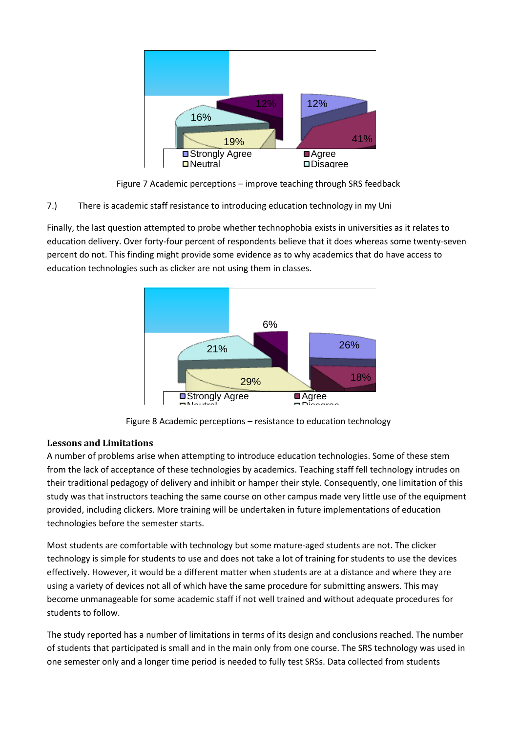

Figure 7 Academic perceptions – improve teaching through SRS feedback

7.) There is academic staff resistance to introducing education technology in my Uni

Finally, the last question attempted to probe whether technophobia exists in universities as it relates to education delivery. Over forty-four percent of respondents believe that it does whereas some twenty-seven percent do not. This finding might provide some evidence as to why academics that do have access to education technologies such as clicker are not using them in classes.





# **Lessons and Limitations**

A number of problems arise when attempting to introduce education technologies. Some of these stem from the lack of acceptance of these technologies by academics. Teaching staff fell technology intrudes on their traditional pedagogy of delivery and inhibit or hamper their style. Consequently, one limitation of this study was that instructors teaching the same course on other campus made very little use of the equipment provided, including clickers. More training will be undertaken in future implementations of education technologies before the semester starts.

Most students are comfortable with technology but some mature-aged students are not. The clicker technology is simple for students to use and does not take a lot of training for students to use the devices effectively. However, it would be a different matter when students are at a distance and where they are using a variety of devices not all of which have the same procedure for submitting answers. This may become unmanageable for some academic staff if not well trained and without adequate procedures for students to follow.

The study reported has a number of limitations in terms of its design and conclusions reached. The number of students that participated is small and in the main only from one course. The SRS technology was used in one semester only and a longer time period is needed to fully test SRSs. Data collected from students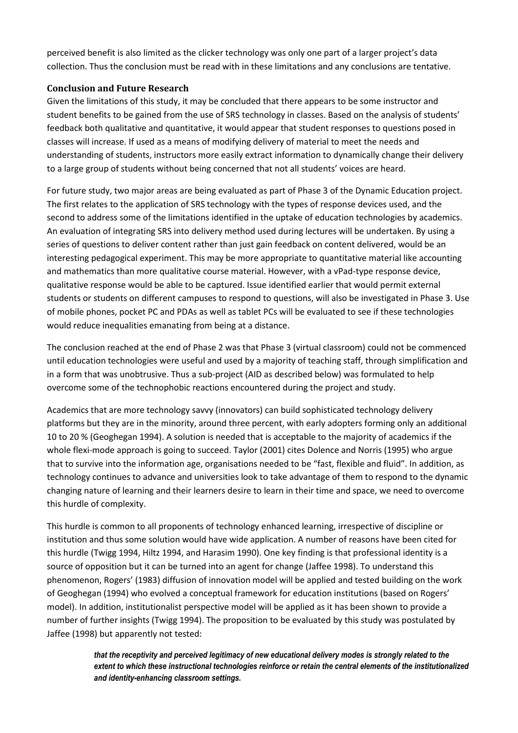perceived benefit is also limited as the clicker technology was only one part of a larger project's data collection. Thus the conclusion must be read with in these limitations and any conclusions are tentative.

# **Conclusion and Future Research**

Given the limitations of this study, it may be concluded that there appears to be some instructor and student benefits to be gained from the use of SRS technology in classes. Based on the analysis of students' feedback both qualitative and quantitative, it would appear that student responses to questions posed in classes will increase. If used as a means of modifying delivery of material to meet the needs and understanding of students, instructors more easily extract information to dynamically change their delivery to a large group of students without being concerned that not all students' voices are heard.

For future study, two major areas are being evaluated as part of Phase 3 of the Dynamic Education project. The first relates to the application of SRS technology with the types of response devices used, and the second to address some of the limitations identified in the uptake of education technologies by academics. An evaluation of integrating SRS into delivery method used during lectures will be undertaken. By using a series of questions to deliver content rather than just gain feedback on content delivered, would be an interesting pedagogical experiment. This may be more appropriate to quantitative material like accounting and mathematics than more qualitative course material. However, with a vPad-type response device, qualitative response would be able to be captured. Issue identified earlier that would permit external students or students on different campuses to respond to questions, will also be investigated in Phase 3. Use of mobile phones, pocket PC and PDAs as well as tablet PCs will be evaluated to see if these technologies would reduce inequalities emanating from being at a distance.

The conclusion reached at the end of Phase 2 was that Phase 3 (virtual classroom) could not be commenced until education technologies were useful and used by a majority of teaching staff, through simplification and in a form that was unobtrusive. Thus a sub-project (AID as described below) was formulated to help overcome some of the technophobic reactions encountered during the project and study.

Academics that are more technology savvy (innovators) can build sophisticated technology delivery platforms but they are in the minority, around three percent, with early adopters forming only an additional 10 to 20 % (Geoghegan 1994). A solution is needed that is acceptable to the majority of academics if the whole flexi-mode approach is going to succeed. Taylor (2001) cites Dolence and Norris (1995) who argue that to survive into the information age, organisations needed to be "fast, flexible and fluid". In addition, as technology continues to advance and universities look to take advantage of them to respond to the dynamic changing nature of learning and their learners desire to learn in their time and space, we need to overcome this hurdle of complexity.

This hurdle is common to all proponents of technology enhanced learning, irrespective of discipline or institution and thus some solution would have wide application. A number of reasons have been cited for this hurdle (Twigg 1994, Hiltz 1994, and Harasim 1990). One key finding is that professional identity is a source of opposition but it can be turned into an agent for change (Jaffee 1998). To understand this phenomenon, Rogers' (1983) diffusion of innovation model will be applied and tested building on the work of Geoghegan (1994) who evolved a conceptual framework for education institutions (based on Rogers' model). In addition, institutionalist perspective model will be applied as it has been shown to provide a number of further insights (Twigg 1994). The proposition to be evaluated by this study was postulated by Jaffee (1998) but apparently not tested:

> *that the receptivity and perceived legitimacy of new educational delivery modes is strongly related to the extent to which these instructional technologies reinforce or retain the central elements of the institutionalized and identity-enhancing classroom settings.*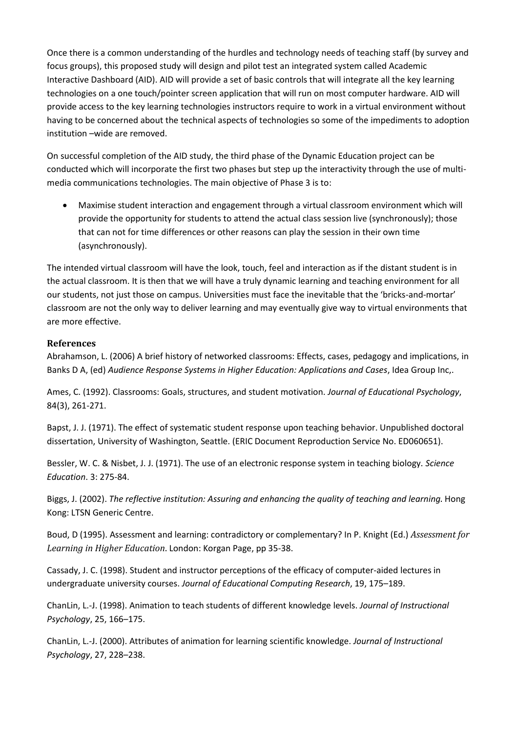Once there is a common understanding of the hurdles and technology needs of teaching staff (by survey and focus groups), this proposed study will design and pilot test an integrated system called Academic Interactive Dashboard (AID). AID will provide a set of basic controls that will integrate all the key learning technologies on a one touch/pointer screen application that will run on most computer hardware. AID will provide access to the key learning technologies instructors require to work in a virtual environment without having to be concerned about the technical aspects of technologies so some of the impediments to adoption institution –wide are removed.

On successful completion of the AID study, the third phase of the Dynamic Education project can be conducted which will incorporate the first two phases but step up the interactivity through the use of multimedia communications technologies. The main objective of Phase 3 is to:

 Maximise student interaction and engagement through a virtual classroom environment which will provide the opportunity for students to attend the actual class session live (synchronously); those that can not for time differences or other reasons can play the session in their own time (asynchronously).

The intended virtual classroom will have the look, touch, feel and interaction as if the distant student is in the actual classroom. It is then that we will have a truly dynamic learning and teaching environment for all our students, not just those on campus. Universities must face the inevitable that the 'bricks-and-mortar' classroom are not the only way to deliver learning and may eventually give way to virtual environments that are more effective.

# **References**

Abrahamson, L. (2006) A brief history of networked classrooms: Effects, cases, pedagogy and implications, in Banks D A, (ed) *Audience Response Systems in Higher Education: Applications and Cases*, Idea Group Inc,.

Ames, C. (1992). Classrooms: Goals, structures, and student motivation. *Journal of Educational Psychology*, 84(3), 261-271.

Bapst, J. J. (1971). The effect of systematic student response upon teaching behavior. Unpublished doctoral dissertation, University of Washington, Seattle. (ERIC Document Reproduction Service No. ED060651).

Bessler, W. C. & Nisbet, J. J. (1971). The use of an electronic response system in teaching biology. *Science Education*. 3: 275-84.

Biggs, J. (2002). *The reflective institution: Assuring and enhancing the quality of teaching and learning*. Hong Kong: LTSN Generic Centre.

Boud, D (1995). Assessment and learning: contradictory or complementary? In P. Knight (Ed.) *Assessment for Learning in Higher Education*. London: Korgan Page, pp 35-38.

Cassady, J. C. (1998). Student and instructor perceptions of the efficacy of computer-aided lectures in undergraduate university courses. *Journal of Educational Computing Research*, 19, 175–189.

ChanLin, L.-J. (1998). Animation to teach students of different knowledge levels. *Journal of Instructional Psychology*, 25, 166–175.

ChanLin, L.-J. (2000). Attributes of animation for learning scientific knowledge. *Journal of Instructional Psychology*, 27, 228–238.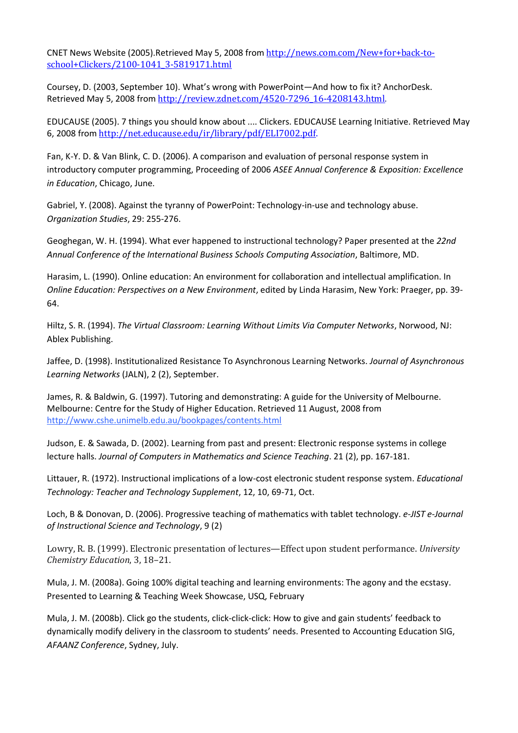CNET News Website (2005).Retrieved May 5, 2008 from [http://news.com.com/New+for+back-to](http://news.com.com/New+for+back-to-school+Clickers/2100-1041_3-5819171.html)[school+Clickers/2100-1041\\_3-5819171.html](http://news.com.com/New+for+back-to-school+Clickers/2100-1041_3-5819171.html) 

Coursey, D. (2003, September 10). What's wrong with PowerPoint—And how to fix it? AnchorDesk. Retrieved May 5, 2008 from [http://review.zdnet.com/4520-7296\\_16-4208143.html.](http://review.zdnet.com/4520-7296_16-4208143.html)

EDUCAUSE (2005). 7 things you should know about .... Clickers. EDUCAUSE Learning Initiative. Retrieved May 6, 2008 from [http://net.educause.edu/ir/library/pdf/ELI7002.pdf.](http://net.educause.edu/ir/library/pdf/ELI7002.pdf)

Fan, K-Y. D. & Van Blink, C. D. (2006). A comparison and evaluation of personal response system in introductory computer programming, Proceeding of 2006 *ASEE Annual Conference & Exposition: Excellence in Education*, Chicago, June.

Gabriel, Y. (2008). Against the tyranny of PowerPoint: Technology-in-use and technology abuse. *Organization Studies*, 29: 255-276.

Geoghegan, W. H. (1994). What ever happened to instructional technology? Paper presented at the *22nd Annual Conference of the International Business Schools Computing Association*, Baltimore, MD.

Harasim, L. (1990). Online education: An environment for collaboration and intellectual amplification. In *Online Education: Perspectives on a New Environment*, edited by Linda Harasim, New York: Praeger, pp. 39- 64.

Hiltz, S. R. (1994). *The Virtual Classroom: Learning Without Limits Via Computer Networks*, Norwood, NJ: Ablex Publishing.

Jaffee, D. (1998). Institutionalized Resistance To Asynchronous Learning Networks. *Journal of Asynchronous Learning Networks* (JALN), 2 (2), September.

James, R. & Baldwin, G. (1997). Tutoring and demonstrating: A guide for the University of Melbourne. Melbourne: Centre for the Study of Higher Education. Retrieved 11 August, 2008 from http://www.cshe.unimelb.edu.au/bookpages/contents.html

Judson, E. & Sawada, D. (2002). Learning from past and present: Electronic response systems in college lecture halls. *Journal of Computers in Mathematics and Science Teaching*. 21 (2), pp. 167-181.

Littauer, R. (1972). Instructional implications of a low-cost electronic student response system. *Educational Technology: Teacher and Technology Supplement*, 12, 10, 69-71, Oct.

Loch, B & Donovan, D. (2006). Progressive teaching of mathematics with tablet technology. *[e-JIST](http://www.usq.edu.au/e-jist/) e-Journal of Instructional Science and Technology*, 9 (2)

Lowry, R. B. (1999). Electronic presentation of lectures—Effect upon student performance. *University Chemistry Education*, 3, 18–21.

Mula, J. M. (2008a). Going 100% digital teaching and learning environments: The agony and the ecstasy. Presented to Learning & Teaching Week Showcase, USQ, February

Mula, J. M. (2008b). Click go the students, click-click-click: How to give and gain students' feedback to dynamically modify delivery in the classroom to students' needs. Presented to Accounting Education SIG, *AFAANZ Conference*, Sydney, July.